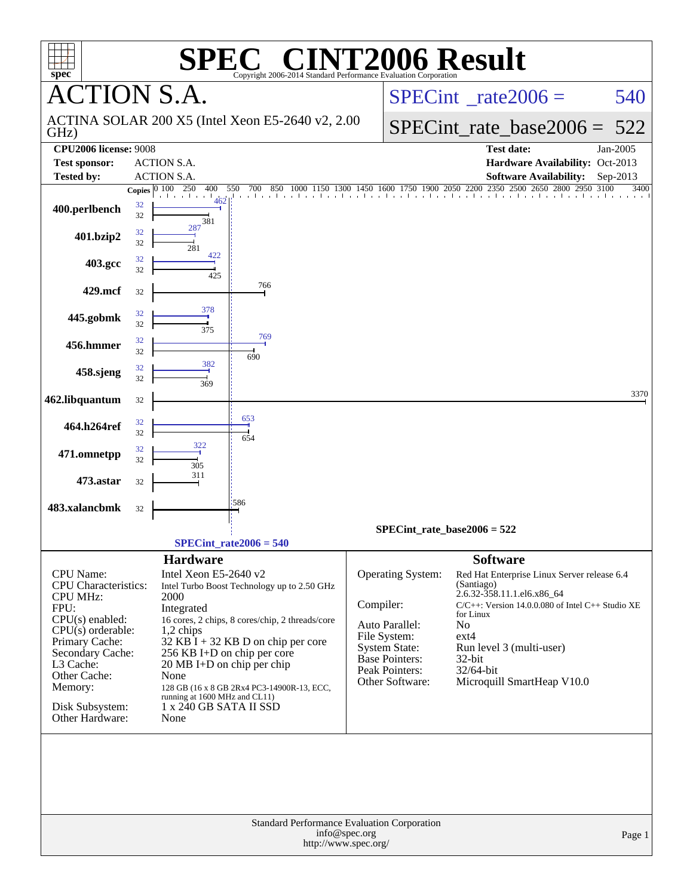| spec <sup>®</sup>                                                                                                                                                                                                                   | $\bigcap_{\mathbb{R}}$<br>SPE<br>Copyright 2006-2014 Standard Performance Evaluation Corporation                                                                                                                                                                                                                                                                                                                    | <b>INT2006 Result</b>                                                                                                                                                                                                                                                                                                                                                                                                                             |
|-------------------------------------------------------------------------------------------------------------------------------------------------------------------------------------------------------------------------------------|---------------------------------------------------------------------------------------------------------------------------------------------------------------------------------------------------------------------------------------------------------------------------------------------------------------------------------------------------------------------------------------------------------------------|---------------------------------------------------------------------------------------------------------------------------------------------------------------------------------------------------------------------------------------------------------------------------------------------------------------------------------------------------------------------------------------------------------------------------------------------------|
|                                                                                                                                                                                                                                     | <b>CTION S.A.</b>                                                                                                                                                                                                                                                                                                                                                                                                   | $SPECint^{\circ}$ <sub>_rate2006</sub> =<br>540                                                                                                                                                                                                                                                                                                                                                                                                   |
| GHz)                                                                                                                                                                                                                                | ACTINA SOLAR 200 X5 (Intel Xeon E5-2640 v2, 2.00                                                                                                                                                                                                                                                                                                                                                                    | $SPECint$ rate_base2006 =<br>522                                                                                                                                                                                                                                                                                                                                                                                                                  |
| <b>CPU2006 license: 9008</b>                                                                                                                                                                                                        |                                                                                                                                                                                                                                                                                                                                                                                                                     | Jan-2005<br><b>Test date:</b>                                                                                                                                                                                                                                                                                                                                                                                                                     |
| <b>Test sponsor:</b>                                                                                                                                                                                                                | <b>ACTION S.A.</b>                                                                                                                                                                                                                                                                                                                                                                                                  | Hardware Availability: Oct-2013                                                                                                                                                                                                                                                                                                                                                                                                                   |
| <b>Tested by:</b>                                                                                                                                                                                                                   | <b>ACTION S.A.</b>                                                                                                                                                                                                                                                                                                                                                                                                  | <b>Software Availability:</b><br>Sep-2013                                                                                                                                                                                                                                                                                                                                                                                                         |
| 400.perlbench                                                                                                                                                                                                                       | 0, 100, 250 <br>400<br>550<br><b>Copies</b><br>32<br>32                                                                                                                                                                                                                                                                                                                                                             | 0 700 850 1000 1150 1300 1450 1600 1750 1900 2050 2200 2350 2500 2650 2800 2950 3100<br>3400                                                                                                                                                                                                                                                                                                                                                      |
| 401.bzip2                                                                                                                                                                                                                           | 381<br>287<br>32<br>32<br>281                                                                                                                                                                                                                                                                                                                                                                                       |                                                                                                                                                                                                                                                                                                                                                                                                                                                   |
| 403.gcc                                                                                                                                                                                                                             | 422<br>32<br>32<br>425                                                                                                                                                                                                                                                                                                                                                                                              |                                                                                                                                                                                                                                                                                                                                                                                                                                                   |
| 429.mcf                                                                                                                                                                                                                             | 766<br>32                                                                                                                                                                                                                                                                                                                                                                                                           |                                                                                                                                                                                                                                                                                                                                                                                                                                                   |
| 445.gobmk                                                                                                                                                                                                                           | 378<br>32<br>32                                                                                                                                                                                                                                                                                                                                                                                                     |                                                                                                                                                                                                                                                                                                                                                                                                                                                   |
| 456.hmmer                                                                                                                                                                                                                           | 375<br>769<br>32                                                                                                                                                                                                                                                                                                                                                                                                    |                                                                                                                                                                                                                                                                                                                                                                                                                                                   |
|                                                                                                                                                                                                                                     | 32<br>690<br>382                                                                                                                                                                                                                                                                                                                                                                                                    |                                                                                                                                                                                                                                                                                                                                                                                                                                                   |
| 458.sjeng                                                                                                                                                                                                                           | 32<br>32<br>369                                                                                                                                                                                                                                                                                                                                                                                                     | 3370                                                                                                                                                                                                                                                                                                                                                                                                                                              |
| 462.libquantum                                                                                                                                                                                                                      | 32                                                                                                                                                                                                                                                                                                                                                                                                                  |                                                                                                                                                                                                                                                                                                                                                                                                                                                   |
| 464.h264ref                                                                                                                                                                                                                         | 653<br>32<br>32<br>654                                                                                                                                                                                                                                                                                                                                                                                              |                                                                                                                                                                                                                                                                                                                                                                                                                                                   |
| 471.omnetpp                                                                                                                                                                                                                         | 322<br>32<br>32<br>305                                                                                                                                                                                                                                                                                                                                                                                              |                                                                                                                                                                                                                                                                                                                                                                                                                                                   |
| 473.astar                                                                                                                                                                                                                           | 311<br>32                                                                                                                                                                                                                                                                                                                                                                                                           |                                                                                                                                                                                                                                                                                                                                                                                                                                                   |
| 483.xalancbmk                                                                                                                                                                                                                       | 586<br>32                                                                                                                                                                                                                                                                                                                                                                                                           |                                                                                                                                                                                                                                                                                                                                                                                                                                                   |
|                                                                                                                                                                                                                                     |                                                                                                                                                                                                                                                                                                                                                                                                                     | $SPECint_rate_base2006 = 522$                                                                                                                                                                                                                                                                                                                                                                                                                     |
|                                                                                                                                                                                                                                     | $SPECint_rate2006 = 540$                                                                                                                                                                                                                                                                                                                                                                                            |                                                                                                                                                                                                                                                                                                                                                                                                                                                   |
| CPU Name:<br><b>CPU</b> Characteristics:<br><b>CPU MHz:</b><br>FPU:<br>$CPU(s)$ enabled:<br>$CPU(s)$ orderable:<br>Primary Cache:<br>Secondary Cache:<br>L3 Cache:<br>Other Cache:<br>Memory:<br>Disk Subsystem:<br>Other Hardware: | <b>Hardware</b><br>Intel Xeon E5-2640 v2<br>Intel Turbo Boost Technology up to 2.50 GHz<br>2000<br>Integrated<br>16 cores, 2 chips, 8 cores/chip, 2 threads/core<br>1,2 chips<br>$32$ KB $\bar{1}$ + 32 KB D on chip per core<br>256 KB I+D on chip per core<br>20 MB I+D on chip per chip<br>None<br>128 GB (16 x 8 GB 2Rx4 PC3-14900R-13, ECC,<br>running at 1600 MHz and CL11)<br>1 x 240 GB SATA II SSD<br>None | <b>Software</b><br>Operating System:<br>Red Hat Enterprise Linux Server release 6.4<br>(Santiago)<br>2.6.32-358.11.1.el6.x86_64<br>Compiler:<br>$C/C++$ : Version 14.0.0.080 of Intel $C++$ Studio XE<br>for Linux<br>Auto Parallel:<br>N <sub>o</sub><br>File System:<br>ext4<br>System State:<br>Run level 3 (multi-user)<br><b>Base Pointers:</b><br>$32$ -bit<br>Peak Pointers:<br>32/64-bit<br>Microquill SmartHeap V10.0<br>Other Software: |
|                                                                                                                                                                                                                                     | Standard Performance Evaluation Corporation<br>info@spec.org<br>http://www.spec.org/                                                                                                                                                                                                                                                                                                                                | Page 1                                                                                                                                                                                                                                                                                                                                                                                                                                            |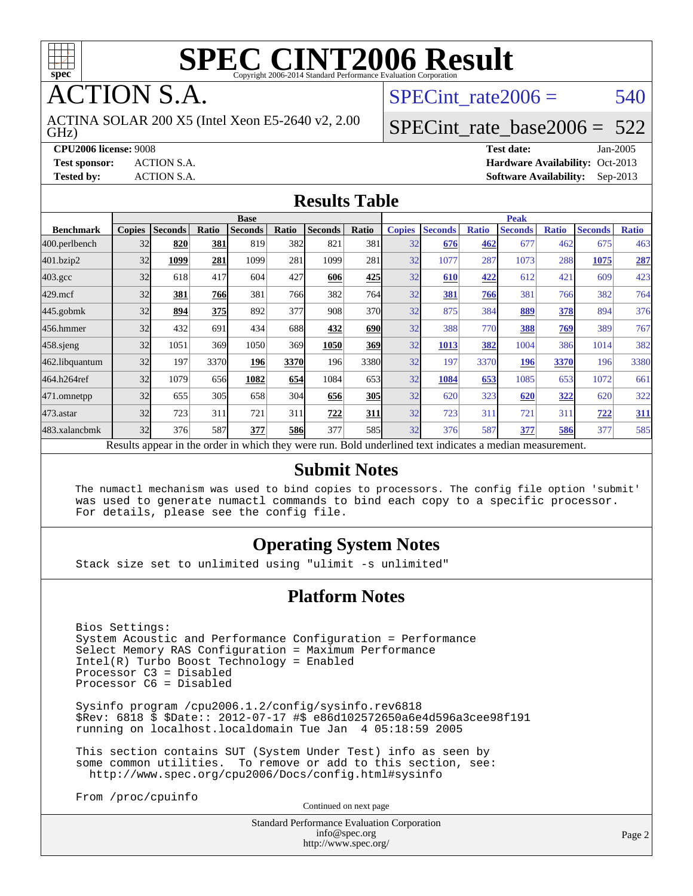

**CTION S.A.** 

GHz) ACTINA SOLAR 200 X5 (Intel Xeon E5-2640 v2, 2.00 SPECint rate $2006 = 540$ 

### [SPECint\\_rate\\_base2006 =](http://www.spec.org/auto/cpu2006/Docs/result-fields.html#SPECintratebase2006) 522

**[CPU2006 license:](http://www.spec.org/auto/cpu2006/Docs/result-fields.html#CPU2006license)** 9008 **[Test date:](http://www.spec.org/auto/cpu2006/Docs/result-fields.html#Testdate)** Jan-2005 **[Test sponsor:](http://www.spec.org/auto/cpu2006/Docs/result-fields.html#Testsponsor)** ACTION S.A. **[Hardware Availability:](http://www.spec.org/auto/cpu2006/Docs/result-fields.html#HardwareAvailability)** Oct-2013 **[Tested by:](http://www.spec.org/auto/cpu2006/Docs/result-fields.html#Testedby)** ACTION S.A. **[Software Availability:](http://www.spec.org/auto/cpu2006/Docs/result-fields.html#SoftwareAvailability)** Sep-2013

#### **[Results Table](http://www.spec.org/auto/cpu2006/Docs/result-fields.html#ResultsTable)**

|                                                                                                          | <b>Base</b>   |                |       |                |            |                |                  | <b>Peak</b>   |                |              |                |              |                |              |
|----------------------------------------------------------------------------------------------------------|---------------|----------------|-------|----------------|------------|----------------|------------------|---------------|----------------|--------------|----------------|--------------|----------------|--------------|
| <b>Benchmark</b>                                                                                         | <b>Copies</b> | <b>Seconds</b> | Ratio | <b>Seconds</b> | Ratio      | <b>Seconds</b> | Ratio            | <b>Copies</b> | <b>Seconds</b> | <b>Ratio</b> | <b>Seconds</b> | <b>Ratio</b> | <b>Seconds</b> | <b>Ratio</b> |
| 400.perlbench                                                                                            | 32            | 820            | 381   | 819            | 382        | 821            | 381              | 32            | 676            | 462          | 677            | 462          | 675            | 463          |
| 401.bzip2                                                                                                | 32            | 1099           | 281   | 1099           | 281        | 1099           | 281              | 32            | 1077           | 287          | 1073           | 288          | 1075           | 287          |
| $403.\mathrm{gcc}$                                                                                       | 32            | 618            | 417   | 604            | 427        | 606            | 425              | 32            | 610            | 422          | 612            | 421          | 609            | 423          |
| $429$ .mcf                                                                                               | 32            | 381            | 766   | 381            | 766        | 382            | 764              | 32            | 381            | 766          | 381            | 766          | 382            | 764          |
| $445$ .gobmk                                                                                             | 32            | 894            | 375   | 892            | 377        | 908            | 370l             | 32            | 875            | 384          | 889            | 378          | 894            | 376          |
| 456.hmmer                                                                                                | 32            | 432            | 691   | 434            | 688        | 432            | <b>690</b>       | 32            | 388            | 770          | 388            | 769          | 389            | 767          |
| $458$ .sjeng                                                                                             | 32            | 1051           | 369   | 1050           | 369        | 1050           | <b>369</b>       | 32            | 1013           | 382          | 1004           | 386          | 1014           | 382          |
| 462.libquantum                                                                                           | 32            | 197            | 3370  | 196            | 3370       | 196            | 3380             | 32            | 197            | 3370         | 196            | 3370         | 196            | 3380         |
| 464.h264ref                                                                                              | 32            | 1079           | 656   | 1082           | 654        | 1084           | 653              | 32            | 1084           | 653          | 1085           | 653          | 1072           | 661          |
| 471.omnetpp                                                                                              | 32            | 655            | 305   | 658            | 304        | 656            | <b>305</b>       | 32            | 620            | 323          | 620            | 322          | 620            | 322          |
| 473.astar                                                                                                | 32            | 723            | 311   | 721            | 311        | 722            | 311              | 32            | 723            | 311          | 721            | 311          | 722            | <u>311</u>   |
| 483.xalancbmk                                                                                            | 32            | 376            | 587   | 377            | <b>586</b> | 377            | 585 <sup>I</sup> | 32            | 376            | 587          | 377            | 586          | 377            | 585          |
| Results appear in the order in which they were run. Bold underlined text indicates a median measurement. |               |                |       |                |            |                |                  |               |                |              |                |              |                |              |

#### **[Submit Notes](http://www.spec.org/auto/cpu2006/Docs/result-fields.html#SubmitNotes)**

 The numactl mechanism was used to bind copies to processors. The config file option 'submit' was used to generate numactl commands to bind each copy to a specific processor. For details, please see the config file.

#### **[Operating System Notes](http://www.spec.org/auto/cpu2006/Docs/result-fields.html#OperatingSystemNotes)**

Stack size set to unlimited using "ulimit -s unlimited"

#### **[Platform Notes](http://www.spec.org/auto/cpu2006/Docs/result-fields.html#PlatformNotes)**

 Bios Settings: System Acoustic and Performance Configuration = Performance Select Memory RAS Configuration = Maximum Performance Intel(R) Turbo Boost Technology = Enabled Processor C3 = Disabled Processor C6 = Disabled

 Sysinfo program /cpu2006.1.2/config/sysinfo.rev6818 \$Rev: 6818 \$ \$Date:: 2012-07-17 #\$ e86d102572650a6e4d596a3cee98f191 running on localhost.localdomain Tue Jan 4 05:18:59 2005

 This section contains SUT (System Under Test) info as seen by some common utilities. To remove or add to this section, see: <http://www.spec.org/cpu2006/Docs/config.html#sysinfo>

From /proc/cpuinfo

Continued on next page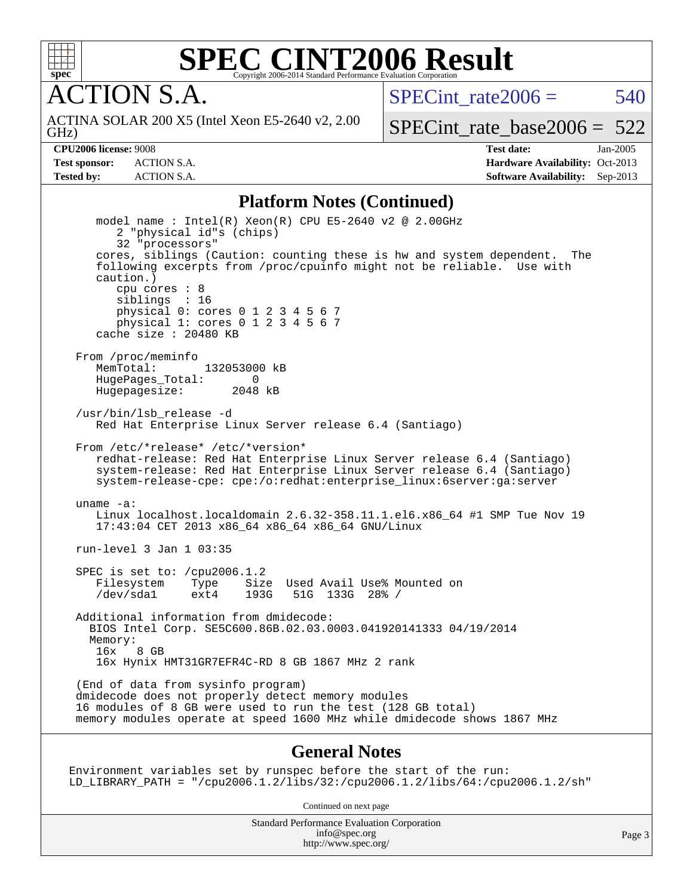

**CTION S.A.** 

 $SPECint rate2006 = 540$ 

GHz) ACTINA SOLAR 200 X5 (Intel Xeon E5-2640 v2, 2.00

[SPECint\\_rate\\_base2006 =](http://www.spec.org/auto/cpu2006/Docs/result-fields.html#SPECintratebase2006)  $522$ 

**[CPU2006 license:](http://www.spec.org/auto/cpu2006/Docs/result-fields.html#CPU2006license)** 9008 **[Test date:](http://www.spec.org/auto/cpu2006/Docs/result-fields.html#Testdate)** Jan-2005 **[Test sponsor:](http://www.spec.org/auto/cpu2006/Docs/result-fields.html#Testsponsor)** ACTION S.A. **[Hardware Availability:](http://www.spec.org/auto/cpu2006/Docs/result-fields.html#HardwareAvailability)** Oct-2013 **[Tested by:](http://www.spec.org/auto/cpu2006/Docs/result-fields.html#Testedby)** ACTION S.A. **[Software Availability:](http://www.spec.org/auto/cpu2006/Docs/result-fields.html#SoftwareAvailability)** Sep-2013

#### **[Platform Notes \(Continued\)](http://www.spec.org/auto/cpu2006/Docs/result-fields.html#PlatformNotes)**

 model name : Intel(R) Xeon(R) CPU E5-2640 v2 @ 2.00GHz 2 "physical id"s (chips) 32 "processors" cores, siblings (Caution: counting these is hw and system dependent. The following excerpts from /proc/cpuinfo might not be reliable. Use with caution.) cpu cores : 8 siblings : 16 physical 0: cores 0 1 2 3 4 5 6 7 physical 1: cores 0 1 2 3 4 5 6 7 cache size : 20480 KB From /proc/meminfo<br>MemTotal: 132053000 kB HugePages\_Total: 0<br>Hugepagesize: 2048 kB Hugepagesize: /usr/bin/lsb\_release -d Red Hat Enterprise Linux Server release 6.4 (Santiago) From /etc/\*release\* /etc/\*version\* redhat-release: Red Hat Enterprise Linux Server release 6.4 (Santiago) system-release: Red Hat Enterprise Linux Server release 6.4 (Santiago) system-release-cpe: cpe:/o:redhat:enterprise\_linux:6server:ga:server uname -a: Linux localhost.localdomain 2.6.32-358.11.1.el6.x86\_64 #1 SMP Tue Nov 19 17:43:04 CET 2013 x86\_64 x86\_64 x86\_64 GNU/Linux run-level 3 Jan 1 03:35 SPEC is set to: /cpu2006.1.2 Filesystem Type Size Used Avail Use% Mounted on /dev/sda1 ext4 193G 51G 133G 28% / Additional information from dmidecode: BIOS Intel Corp. SE5C600.86B.02.03.0003.041920141333 04/19/2014 Memory:<br>16x 8 GB 16x Hynix HMT31GR7EFR4C-RD 8 GB 1867 MHz 2 rank (End of data from sysinfo program) dmidecode does not properly detect memory modules 16 modules of 8 GB were used to run the test (128 GB total) memory modules operate at speed 1600 MHz while dmidecode shows 1867 MHz

#### **[General Notes](http://www.spec.org/auto/cpu2006/Docs/result-fields.html#GeneralNotes)**

Environment variables set by runspec before the start of the run: LD\_LIBRARY\_PATH = "/cpu2006.1.2/libs/32:/cpu2006.1.2/libs/64:/cpu2006.1.2/sh"

Continued on next page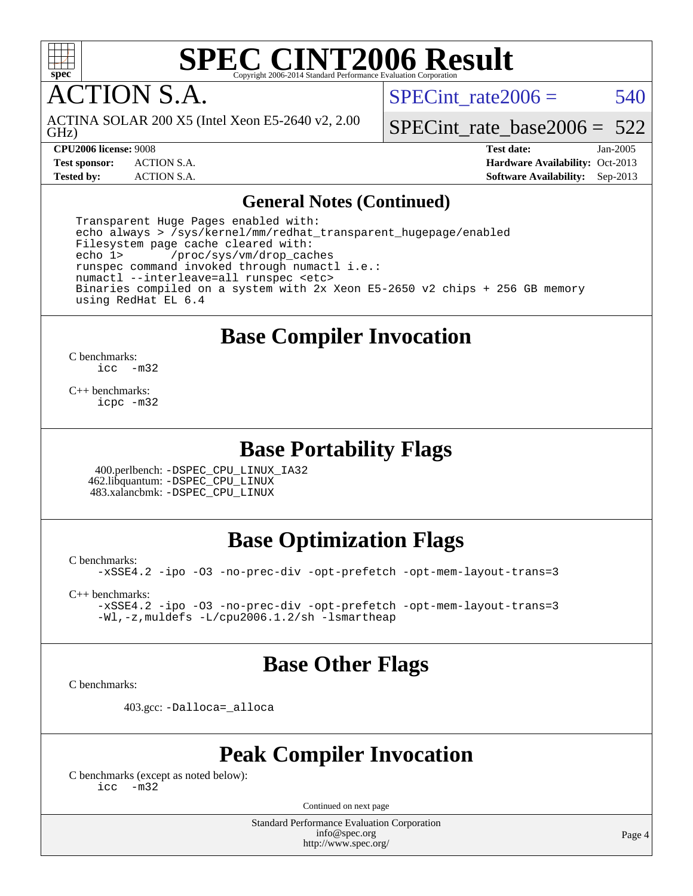

ACTION S.A.

SPECint rate $2006 = 540$ 

GHz) ACTINA SOLAR 200 X5 (Intel Xeon E5-2640 v2, 2.00

[SPECint\\_rate\\_base2006 =](http://www.spec.org/auto/cpu2006/Docs/result-fields.html#SPECintratebase2006)  $522$ 

**[Test sponsor:](http://www.spec.org/auto/cpu2006/Docs/result-fields.html#Testsponsor)** ACTION S.A. **[Hardware Availability:](http://www.spec.org/auto/cpu2006/Docs/result-fields.html#HardwareAvailability)** Oct-2013

**[CPU2006 license:](http://www.spec.org/auto/cpu2006/Docs/result-fields.html#CPU2006license)** 9008 **[Test date:](http://www.spec.org/auto/cpu2006/Docs/result-fields.html#Testdate)** Jan-2005 **[Tested by:](http://www.spec.org/auto/cpu2006/Docs/result-fields.html#Testedby)** ACTION S.A. **[Software Availability:](http://www.spec.org/auto/cpu2006/Docs/result-fields.html#SoftwareAvailability)** Sep-2013

#### **[General Notes \(Continued\)](http://www.spec.org/auto/cpu2006/Docs/result-fields.html#GeneralNotes)**

 Transparent Huge Pages enabled with: echo always > /sys/kernel/mm/redhat\_transparent\_hugepage/enabled Filesystem page cache cleared with: echo 1> /proc/sys/vm/drop\_caches runspec command invoked through numactl i.e.: numactl --interleave=all runspec <etc> Binaries compiled on a system with 2x Xeon E5-2650 v2 chips + 256 GB memory using RedHat EL 6.4

**[Base Compiler Invocation](http://www.spec.org/auto/cpu2006/Docs/result-fields.html#BaseCompilerInvocation)**

[C benchmarks](http://www.spec.org/auto/cpu2006/Docs/result-fields.html#Cbenchmarks): [icc -m32](http://www.spec.org/cpu2006/results/res2014q3/cpu2006-20140811-30898.flags.html#user_CCbase_intel_icc_5ff4a39e364c98233615fdd38438c6f2)

[C++ benchmarks:](http://www.spec.org/auto/cpu2006/Docs/result-fields.html#CXXbenchmarks) [icpc -m32](http://www.spec.org/cpu2006/results/res2014q3/cpu2006-20140811-30898.flags.html#user_CXXbase_intel_icpc_4e5a5ef1a53fd332b3c49e69c3330699)

### **[Base Portability Flags](http://www.spec.org/auto/cpu2006/Docs/result-fields.html#BasePortabilityFlags)**

 400.perlbench: [-DSPEC\\_CPU\\_LINUX\\_IA32](http://www.spec.org/cpu2006/results/res2014q3/cpu2006-20140811-30898.flags.html#b400.perlbench_baseCPORTABILITY_DSPEC_CPU_LINUX_IA32) 462.libquantum: [-DSPEC\\_CPU\\_LINUX](http://www.spec.org/cpu2006/results/res2014q3/cpu2006-20140811-30898.flags.html#b462.libquantum_baseCPORTABILITY_DSPEC_CPU_LINUX) 483.xalancbmk: [-DSPEC\\_CPU\\_LINUX](http://www.spec.org/cpu2006/results/res2014q3/cpu2006-20140811-30898.flags.html#b483.xalancbmk_baseCXXPORTABILITY_DSPEC_CPU_LINUX)

## **[Base Optimization Flags](http://www.spec.org/auto/cpu2006/Docs/result-fields.html#BaseOptimizationFlags)**

[C benchmarks](http://www.spec.org/auto/cpu2006/Docs/result-fields.html#Cbenchmarks):

[-xSSE4.2](http://www.spec.org/cpu2006/results/res2014q3/cpu2006-20140811-30898.flags.html#user_CCbase_f-xSSE42_f91528193cf0b216347adb8b939d4107) [-ipo](http://www.spec.org/cpu2006/results/res2014q3/cpu2006-20140811-30898.flags.html#user_CCbase_f-ipo) [-O3](http://www.spec.org/cpu2006/results/res2014q3/cpu2006-20140811-30898.flags.html#user_CCbase_f-O3) [-no-prec-div](http://www.spec.org/cpu2006/results/res2014q3/cpu2006-20140811-30898.flags.html#user_CCbase_f-no-prec-div) [-opt-prefetch](http://www.spec.org/cpu2006/results/res2014q3/cpu2006-20140811-30898.flags.html#user_CCbase_f-opt-prefetch) [-opt-mem-layout-trans=3](http://www.spec.org/cpu2006/results/res2014q3/cpu2006-20140811-30898.flags.html#user_CCbase_f-opt-mem-layout-trans_a7b82ad4bd7abf52556d4961a2ae94d5)

[C++ benchmarks:](http://www.spec.org/auto/cpu2006/Docs/result-fields.html#CXXbenchmarks)

[-xSSE4.2](http://www.spec.org/cpu2006/results/res2014q3/cpu2006-20140811-30898.flags.html#user_CXXbase_f-xSSE42_f91528193cf0b216347adb8b939d4107) [-ipo](http://www.spec.org/cpu2006/results/res2014q3/cpu2006-20140811-30898.flags.html#user_CXXbase_f-ipo) [-O3](http://www.spec.org/cpu2006/results/res2014q3/cpu2006-20140811-30898.flags.html#user_CXXbase_f-O3) [-no-prec-div](http://www.spec.org/cpu2006/results/res2014q3/cpu2006-20140811-30898.flags.html#user_CXXbase_f-no-prec-div) [-opt-prefetch](http://www.spec.org/cpu2006/results/res2014q3/cpu2006-20140811-30898.flags.html#user_CXXbase_f-opt-prefetch) [-opt-mem-layout-trans=3](http://www.spec.org/cpu2006/results/res2014q3/cpu2006-20140811-30898.flags.html#user_CXXbase_f-opt-mem-layout-trans_a7b82ad4bd7abf52556d4961a2ae94d5) [-Wl,-z,muldefs](http://www.spec.org/cpu2006/results/res2014q3/cpu2006-20140811-30898.flags.html#user_CXXbase_link_force_multiple1_74079c344b956b9658436fd1b6dd3a8a) [-L/cpu2006.1.2/sh -lsmartheap](http://www.spec.org/cpu2006/results/res2014q3/cpu2006-20140811-30898.flags.html#user_CXXbase_SmartHeap_bfa5b22c0e716eb2d3a2496ec83a2e29)

### **[Base Other Flags](http://www.spec.org/auto/cpu2006/Docs/result-fields.html#BaseOtherFlags)**

[C benchmarks](http://www.spec.org/auto/cpu2006/Docs/result-fields.html#Cbenchmarks):

403.gcc: [-Dalloca=\\_alloca](http://www.spec.org/cpu2006/results/res2014q3/cpu2006-20140811-30898.flags.html#b403.gcc_baseEXTRA_CFLAGS_Dalloca_be3056838c12de2578596ca5467af7f3)

### **[Peak Compiler Invocation](http://www.spec.org/auto/cpu2006/Docs/result-fields.html#PeakCompilerInvocation)**

[C benchmarks \(except as noted below\)](http://www.spec.org/auto/cpu2006/Docs/result-fields.html#Cbenchmarksexceptasnotedbelow): [icc -m32](http://www.spec.org/cpu2006/results/res2014q3/cpu2006-20140811-30898.flags.html#user_CCpeak_intel_icc_5ff4a39e364c98233615fdd38438c6f2)

Continued on next page

Standard Performance Evaluation Corporation [info@spec.org](mailto:info@spec.org) <http://www.spec.org/>

Page 4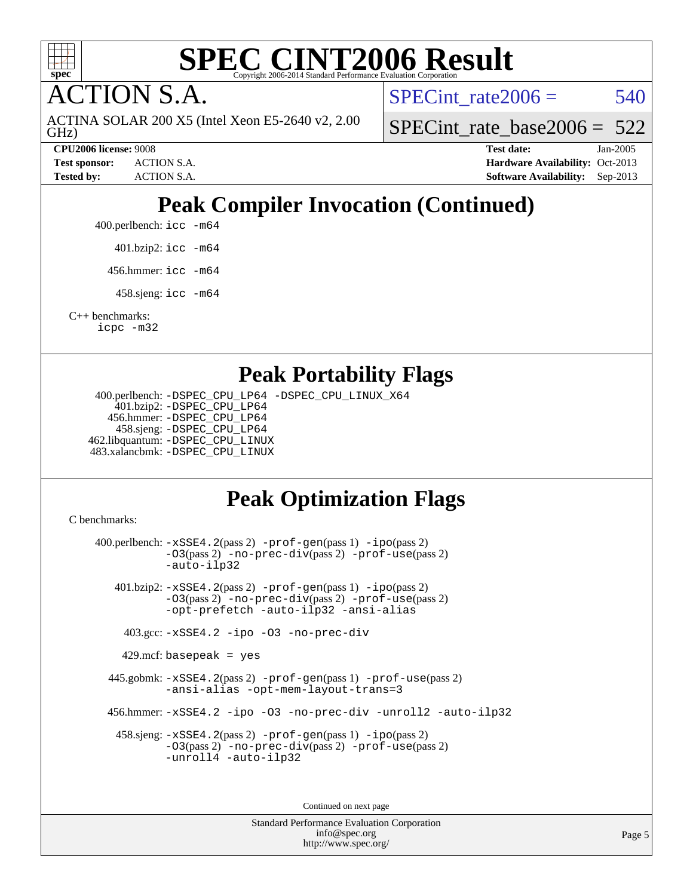

**TION S.A.** 

GHz) ACTINA SOLAR 200 X5 (Intel Xeon E5-2640 v2, 2.00 SPECint rate $2006 = 540$ 

SPECint rate base2006 =  $522$ **[CPU2006 license:](http://www.spec.org/auto/cpu2006/Docs/result-fields.html#CPU2006license)** 9008 **[Test date:](http://www.spec.org/auto/cpu2006/Docs/result-fields.html#Testdate)** Jan-2005

**[Test sponsor:](http://www.spec.org/auto/cpu2006/Docs/result-fields.html#Testsponsor)** ACTION S.A. **[Hardware Availability:](http://www.spec.org/auto/cpu2006/Docs/result-fields.html#HardwareAvailability)** Oct-2013 **[Tested by:](http://www.spec.org/auto/cpu2006/Docs/result-fields.html#Testedby)** ACTION S.A. **[Software Availability:](http://www.spec.org/auto/cpu2006/Docs/result-fields.html#SoftwareAvailability)** Sep-2013

## **[Peak Compiler Invocation \(Continued\)](http://www.spec.org/auto/cpu2006/Docs/result-fields.html#PeakCompilerInvocation)**

400.perlbench: [icc -m64](http://www.spec.org/cpu2006/results/res2014q3/cpu2006-20140811-30898.flags.html#user_peakCCLD400_perlbench_intel_icc_64bit_bda6cc9af1fdbb0edc3795bac97ada53)

401.bzip2: [icc -m64](http://www.spec.org/cpu2006/results/res2014q3/cpu2006-20140811-30898.flags.html#user_peakCCLD401_bzip2_intel_icc_64bit_bda6cc9af1fdbb0edc3795bac97ada53)

456.hmmer: [icc -m64](http://www.spec.org/cpu2006/results/res2014q3/cpu2006-20140811-30898.flags.html#user_peakCCLD456_hmmer_intel_icc_64bit_bda6cc9af1fdbb0edc3795bac97ada53)

458.sjeng: [icc -m64](http://www.spec.org/cpu2006/results/res2014q3/cpu2006-20140811-30898.flags.html#user_peakCCLD458_sjeng_intel_icc_64bit_bda6cc9af1fdbb0edc3795bac97ada53)

[C++ benchmarks:](http://www.spec.org/auto/cpu2006/Docs/result-fields.html#CXXbenchmarks) [icpc -m32](http://www.spec.org/cpu2006/results/res2014q3/cpu2006-20140811-30898.flags.html#user_CXXpeak_intel_icpc_4e5a5ef1a53fd332b3c49e69c3330699)

#### **[Peak Portability Flags](http://www.spec.org/auto/cpu2006/Docs/result-fields.html#PeakPortabilityFlags)**

 400.perlbench: [-DSPEC\\_CPU\\_LP64](http://www.spec.org/cpu2006/results/res2014q3/cpu2006-20140811-30898.flags.html#b400.perlbench_peakCPORTABILITY_DSPEC_CPU_LP64) [-DSPEC\\_CPU\\_LINUX\\_X64](http://www.spec.org/cpu2006/results/res2014q3/cpu2006-20140811-30898.flags.html#b400.perlbench_peakCPORTABILITY_DSPEC_CPU_LINUX_X64) 401.bzip2: [-DSPEC\\_CPU\\_LP64](http://www.spec.org/cpu2006/results/res2014q3/cpu2006-20140811-30898.flags.html#suite_peakCPORTABILITY401_bzip2_DSPEC_CPU_LP64) 456.hmmer: [-DSPEC\\_CPU\\_LP64](http://www.spec.org/cpu2006/results/res2014q3/cpu2006-20140811-30898.flags.html#suite_peakCPORTABILITY456_hmmer_DSPEC_CPU_LP64) 458.sjeng: [-DSPEC\\_CPU\\_LP64](http://www.spec.org/cpu2006/results/res2014q3/cpu2006-20140811-30898.flags.html#suite_peakCPORTABILITY458_sjeng_DSPEC_CPU_LP64) 462.libquantum: [-DSPEC\\_CPU\\_LINUX](http://www.spec.org/cpu2006/results/res2014q3/cpu2006-20140811-30898.flags.html#b462.libquantum_peakCPORTABILITY_DSPEC_CPU_LINUX) 483.xalancbmk: [-DSPEC\\_CPU\\_LINUX](http://www.spec.org/cpu2006/results/res2014q3/cpu2006-20140811-30898.flags.html#b483.xalancbmk_peakCXXPORTABILITY_DSPEC_CPU_LINUX)

## **[Peak Optimization Flags](http://www.spec.org/auto/cpu2006/Docs/result-fields.html#PeakOptimizationFlags)**

[C benchmarks](http://www.spec.org/auto/cpu2006/Docs/result-fields.html#Cbenchmarks):

 400.perlbench: [-xSSE4.2](http://www.spec.org/cpu2006/results/res2014q3/cpu2006-20140811-30898.flags.html#user_peakPASS2_CFLAGSPASS2_LDCFLAGS400_perlbench_f-xSSE42_f91528193cf0b216347adb8b939d4107)(pass 2) [-prof-gen](http://www.spec.org/cpu2006/results/res2014q3/cpu2006-20140811-30898.flags.html#user_peakPASS1_CFLAGSPASS1_LDCFLAGS400_perlbench_prof_gen_e43856698f6ca7b7e442dfd80e94a8fc)(pass 1) [-ipo](http://www.spec.org/cpu2006/results/res2014q3/cpu2006-20140811-30898.flags.html#user_peakPASS2_CFLAGSPASS2_LDCFLAGS400_perlbench_f-ipo)(pass 2) [-O3](http://www.spec.org/cpu2006/results/res2014q3/cpu2006-20140811-30898.flags.html#user_peakPASS2_CFLAGSPASS2_LDCFLAGS400_perlbench_f-O3)(pass 2) [-no-prec-div](http://www.spec.org/cpu2006/results/res2014q3/cpu2006-20140811-30898.flags.html#user_peakPASS2_CFLAGSPASS2_LDCFLAGS400_perlbench_f-no-prec-div)(pass 2) [-prof-use](http://www.spec.org/cpu2006/results/res2014q3/cpu2006-20140811-30898.flags.html#user_peakPASS2_CFLAGSPASS2_LDCFLAGS400_perlbench_prof_use_bccf7792157ff70d64e32fe3e1250b55)(pass 2) [-auto-ilp32](http://www.spec.org/cpu2006/results/res2014q3/cpu2006-20140811-30898.flags.html#user_peakCOPTIMIZE400_perlbench_f-auto-ilp32) 401.bzip2: [-xSSE4.2](http://www.spec.org/cpu2006/results/res2014q3/cpu2006-20140811-30898.flags.html#user_peakPASS2_CFLAGSPASS2_LDCFLAGS401_bzip2_f-xSSE42_f91528193cf0b216347adb8b939d4107)(pass 2) [-prof-gen](http://www.spec.org/cpu2006/results/res2014q3/cpu2006-20140811-30898.flags.html#user_peakPASS1_CFLAGSPASS1_LDCFLAGS401_bzip2_prof_gen_e43856698f6ca7b7e442dfd80e94a8fc)(pass 1) [-ipo](http://www.spec.org/cpu2006/results/res2014q3/cpu2006-20140811-30898.flags.html#user_peakPASS2_CFLAGSPASS2_LDCFLAGS401_bzip2_f-ipo)(pass 2) [-O3](http://www.spec.org/cpu2006/results/res2014q3/cpu2006-20140811-30898.flags.html#user_peakPASS2_CFLAGSPASS2_LDCFLAGS401_bzip2_f-O3)(pass 2) [-no-prec-div](http://www.spec.org/cpu2006/results/res2014q3/cpu2006-20140811-30898.flags.html#user_peakPASS2_CFLAGSPASS2_LDCFLAGS401_bzip2_f-no-prec-div)(pass 2) [-prof-use](http://www.spec.org/cpu2006/results/res2014q3/cpu2006-20140811-30898.flags.html#user_peakPASS2_CFLAGSPASS2_LDCFLAGS401_bzip2_prof_use_bccf7792157ff70d64e32fe3e1250b55)(pass 2) [-opt-prefetch](http://www.spec.org/cpu2006/results/res2014q3/cpu2006-20140811-30898.flags.html#user_peakCOPTIMIZE401_bzip2_f-opt-prefetch) [-auto-ilp32](http://www.spec.org/cpu2006/results/res2014q3/cpu2006-20140811-30898.flags.html#user_peakCOPTIMIZE401_bzip2_f-auto-ilp32) [-ansi-alias](http://www.spec.org/cpu2006/results/res2014q3/cpu2006-20140811-30898.flags.html#user_peakCOPTIMIZE401_bzip2_f-ansi-alias) 403.gcc: [-xSSE4.2](http://www.spec.org/cpu2006/results/res2014q3/cpu2006-20140811-30898.flags.html#user_peakCOPTIMIZE403_gcc_f-xSSE42_f91528193cf0b216347adb8b939d4107) [-ipo](http://www.spec.org/cpu2006/results/res2014q3/cpu2006-20140811-30898.flags.html#user_peakCOPTIMIZE403_gcc_f-ipo) [-O3](http://www.spec.org/cpu2006/results/res2014q3/cpu2006-20140811-30898.flags.html#user_peakCOPTIMIZE403_gcc_f-O3) [-no-prec-div](http://www.spec.org/cpu2006/results/res2014q3/cpu2006-20140811-30898.flags.html#user_peakCOPTIMIZE403_gcc_f-no-prec-div)  $429$ .mcf: basepeak = yes 445.gobmk: [-xSSE4.2](http://www.spec.org/cpu2006/results/res2014q3/cpu2006-20140811-30898.flags.html#user_peakPASS2_CFLAGSPASS2_LDCFLAGS445_gobmk_f-xSSE42_f91528193cf0b216347adb8b939d4107)(pass 2) [-prof-gen](http://www.spec.org/cpu2006/results/res2014q3/cpu2006-20140811-30898.flags.html#user_peakPASS1_CFLAGSPASS1_LDCFLAGS445_gobmk_prof_gen_e43856698f6ca7b7e442dfd80e94a8fc)(pass 1) [-prof-use](http://www.spec.org/cpu2006/results/res2014q3/cpu2006-20140811-30898.flags.html#user_peakPASS2_CFLAGSPASS2_LDCFLAGS445_gobmk_prof_use_bccf7792157ff70d64e32fe3e1250b55)(pass 2) [-ansi-alias](http://www.spec.org/cpu2006/results/res2014q3/cpu2006-20140811-30898.flags.html#user_peakCOPTIMIZE445_gobmk_f-ansi-alias) [-opt-mem-layout-trans=3](http://www.spec.org/cpu2006/results/res2014q3/cpu2006-20140811-30898.flags.html#user_peakCOPTIMIZE445_gobmk_f-opt-mem-layout-trans_a7b82ad4bd7abf52556d4961a2ae94d5) 456.hmmer: [-xSSE4.2](http://www.spec.org/cpu2006/results/res2014q3/cpu2006-20140811-30898.flags.html#user_peakCOPTIMIZE456_hmmer_f-xSSE42_f91528193cf0b216347adb8b939d4107) [-ipo](http://www.spec.org/cpu2006/results/res2014q3/cpu2006-20140811-30898.flags.html#user_peakCOPTIMIZE456_hmmer_f-ipo) [-O3](http://www.spec.org/cpu2006/results/res2014q3/cpu2006-20140811-30898.flags.html#user_peakCOPTIMIZE456_hmmer_f-O3) [-no-prec-div](http://www.spec.org/cpu2006/results/res2014q3/cpu2006-20140811-30898.flags.html#user_peakCOPTIMIZE456_hmmer_f-no-prec-div) [-unroll2](http://www.spec.org/cpu2006/results/res2014q3/cpu2006-20140811-30898.flags.html#user_peakCOPTIMIZE456_hmmer_f-unroll_784dae83bebfb236979b41d2422d7ec2) [-auto-ilp32](http://www.spec.org/cpu2006/results/res2014q3/cpu2006-20140811-30898.flags.html#user_peakCOPTIMIZE456_hmmer_f-auto-ilp32) 458.sjeng: [-xSSE4.2](http://www.spec.org/cpu2006/results/res2014q3/cpu2006-20140811-30898.flags.html#user_peakPASS2_CFLAGSPASS2_LDCFLAGS458_sjeng_f-xSSE42_f91528193cf0b216347adb8b939d4107)(pass 2) [-prof-gen](http://www.spec.org/cpu2006/results/res2014q3/cpu2006-20140811-30898.flags.html#user_peakPASS1_CFLAGSPASS1_LDCFLAGS458_sjeng_prof_gen_e43856698f6ca7b7e442dfd80e94a8fc)(pass 1) [-ipo](http://www.spec.org/cpu2006/results/res2014q3/cpu2006-20140811-30898.flags.html#user_peakPASS2_CFLAGSPASS2_LDCFLAGS458_sjeng_f-ipo)(pass 2) [-O3](http://www.spec.org/cpu2006/results/res2014q3/cpu2006-20140811-30898.flags.html#user_peakPASS2_CFLAGSPASS2_LDCFLAGS458_sjeng_f-O3)(pass 2) [-no-prec-div](http://www.spec.org/cpu2006/results/res2014q3/cpu2006-20140811-30898.flags.html#user_peakPASS2_CFLAGSPASS2_LDCFLAGS458_sjeng_f-no-prec-div)(pass 2) [-prof-use](http://www.spec.org/cpu2006/results/res2014q3/cpu2006-20140811-30898.flags.html#user_peakPASS2_CFLAGSPASS2_LDCFLAGS458_sjeng_prof_use_bccf7792157ff70d64e32fe3e1250b55)(pass 2) [-unroll4](http://www.spec.org/cpu2006/results/res2014q3/cpu2006-20140811-30898.flags.html#user_peakCOPTIMIZE458_sjeng_f-unroll_4e5e4ed65b7fd20bdcd365bec371b81f) [-auto-ilp32](http://www.spec.org/cpu2006/results/res2014q3/cpu2006-20140811-30898.flags.html#user_peakCOPTIMIZE458_sjeng_f-auto-ilp32) Continued on next page